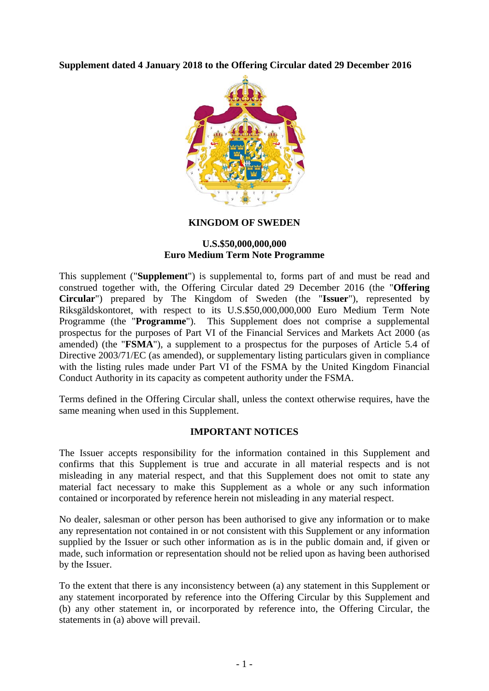## **Supplement dated 4 January 2018 to the Offering Circular dated 29 December 2016**



#### **KINGDOM OF SWEDEN**

### **U.S.\$50,000,000,000 Euro Medium Term Note Programme**

This supplement ("**Supplement**") is supplemental to, forms part of and must be read and construed together with, the Offering Circular dated 29 December 2016 (the "**Offering Circular**") prepared by The Kingdom of Sweden (the "**Issuer**"), represented by Riksgäldskontoret, with respect to its U.S.\$50,000,000,000 Euro Medium Term Note Programme (the "**Programme**"). This Supplement does not comprise a supplemental prospectus for the purposes of Part VI of the Financial Services and Markets Act 2000 (as amended) (the "**FSMA**"), a supplement to a prospectus for the purposes of Article 5.4 of Directive 2003/71/EC (as amended), or supplementary listing particulars given in compliance with the listing rules made under Part VI of the FSMA by the United Kingdom Financial Conduct Authority in its capacity as competent authority under the FSMA.

Terms defined in the Offering Circular shall, unless the context otherwise requires, have the same meaning when used in this Supplement.

### **IMPORTANT NOTICES**

The Issuer accepts responsibility for the information contained in this Supplement and confirms that this Supplement is true and accurate in all material respects and is not misleading in any material respect, and that this Supplement does not omit to state any material fact necessary to make this Supplement as a whole or any such information contained or incorporated by reference herein not misleading in any material respect.

No dealer, salesman or other person has been authorised to give any information or to make any representation not contained in or not consistent with this Supplement or any information supplied by the Issuer or such other information as is in the public domain and, if given or made, such information or representation should not be relied upon as having been authorised by the Issuer.

To the extent that there is any inconsistency between (a) any statement in this Supplement or any statement incorporated by reference into the Offering Circular by this Supplement and (b) any other statement in, or incorporated by reference into, the Offering Circular, the statements in (a) above will prevail.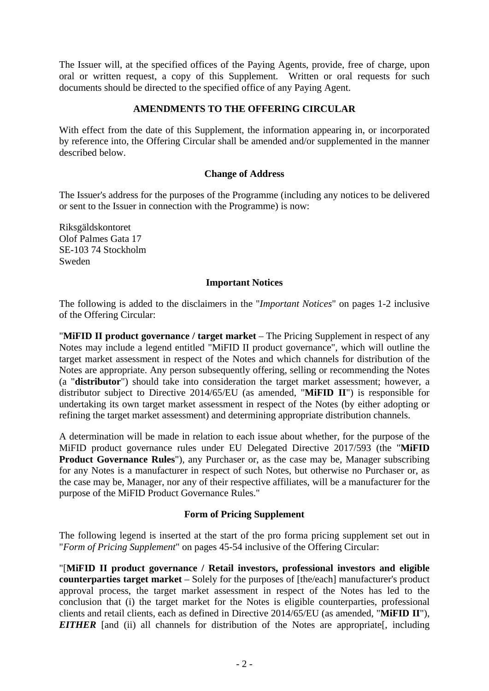The Issuer will, at the specified offices of the Paying Agents, provide, free of charge, upon oral or written request, a copy of this Supplement. Written or oral requests for such documents should be directed to the specified office of any Paying Agent.

# **AMENDMENTS TO THE OFFERING CIRCULAR**

With effect from the date of this Supplement, the information appearing in, or incorporated by reference into, the Offering Circular shall be amended and/or supplemented in the manner described below.

### **Change of Address**

The Issuer's address for the purposes of the Programme (including any notices to be delivered or sent to the Issuer in connection with the Programme) is now:

Riksgäldskontoret Olof Palmes Gata 17 SE-103 74 Stockholm Sweden

### **Important Notices**

The following is added to the disclaimers in the "*Important Notices*" on pages 1-2 inclusive of the Offering Circular:

"**MiFID II product governance / target market** – The Pricing Supplement in respect of any Notes may include a legend entitled "MiFID II product governance", which will outline the target market assessment in respect of the Notes and which channels for distribution of the Notes are appropriate. Any person subsequently offering, selling or recommending the Notes (a "**distributor**") should take into consideration the target market assessment; however, a distributor subject to Directive 2014/65/EU (as amended, "**MiFID II**") is responsible for undertaking its own target market assessment in respect of the Notes (by either adopting or refining the target market assessment) and determining appropriate distribution channels.

A determination will be made in relation to each issue about whether, for the purpose of the MiFID product governance rules under EU Delegated Directive 2017/593 (the "**MiFID Product Governance Rules**"), any Purchaser or, as the case may be, Manager subscribing for any Notes is a manufacturer in respect of such Notes, but otherwise no Purchaser or, as the case may be, Manager, nor any of their respective affiliates, will be a manufacturer for the purpose of the MiFID Product Governance Rules."

## **Form of Pricing Supplement**

The following legend is inserted at the start of the pro forma pricing supplement set out in "*Form of Pricing Supplement*" on pages 45-54 inclusive of the Offering Circular:

"[**MiFID II product governance / Retail investors, professional investors and eligible counterparties target market** – Solely for the purposes of [the/each] manufacturer's product approval process, the target market assessment in respect of the Notes has led to the conclusion that (i) the target market for the Notes is eligible counterparties, professional clients and retail clients, each as defined in Directive 2014/65/EU (as amended, "**MiFID II**"), *EITHER* [and (ii) all channels for distribution of the Notes are appropriate [, including